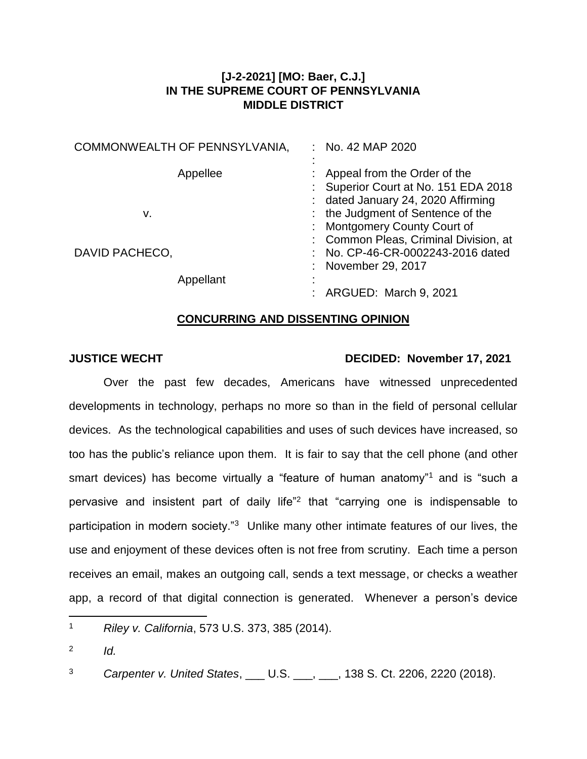## **[J-2-2021] [MO: Baer, C.J.] IN THE SUPREME COURT OF PENNSYLVANIA MIDDLE DISTRICT**

|                | COMMONWEALTH OF PENNSYLVANIA, | No. 42 MAP 2020                                                                                          |
|----------------|-------------------------------|----------------------------------------------------------------------------------------------------------|
|                | Appellee                      | Appeal from the Order of the<br>Superior Court at No. 151 EDA 2018<br>: dated January 24, 2020 Affirming |
| v.             |                               | the Judgment of Sentence of the<br><b>Montgomery County Court of</b>                                     |
| DAVID PACHECO, |                               | : Common Pleas, Criminal Division, at<br>No. CP-46-CR-0002243-2016 dated<br>November 29, 2017            |
|                | Appellant                     | ARGUED: March 9, 2021                                                                                    |

## **CONCURRING AND DISSENTING OPINION**

## **JUSTICE WECHT DECIDED: November 17, 2021**

Over the past few decades, Americans have witnessed unprecedented developments in technology, perhaps no more so than in the field of personal cellular devices. As the technological capabilities and uses of such devices have increased, so too has the public's reliance upon them. It is fair to say that the cell phone (and other smart devices) has become virtually a "feature of human anatomy"<sup>1</sup> and is "such a pervasive and insistent part of daily life<sup>"2</sup> that "carrying one is indispensable to participation in modern society."<sup>3</sup> Unlike many other intimate features of our lives, the use and enjoyment of these devices often is not free from scrutiny. Each time a person receives an email, makes an outgoing call, sends a text message, or checks a weather app, a record of that digital connection is generated. Whenever a person's device

<sup>1</sup> *Riley v. California*, 573 U.S. 373, 385 (2014).

<sup>2</sup> *Id.*

<sup>3</sup> *Carpenter v. United States*, \_\_\_ U.S. \_\_\_, \_\_\_, 138 S. Ct. 2206, 2220 (2018).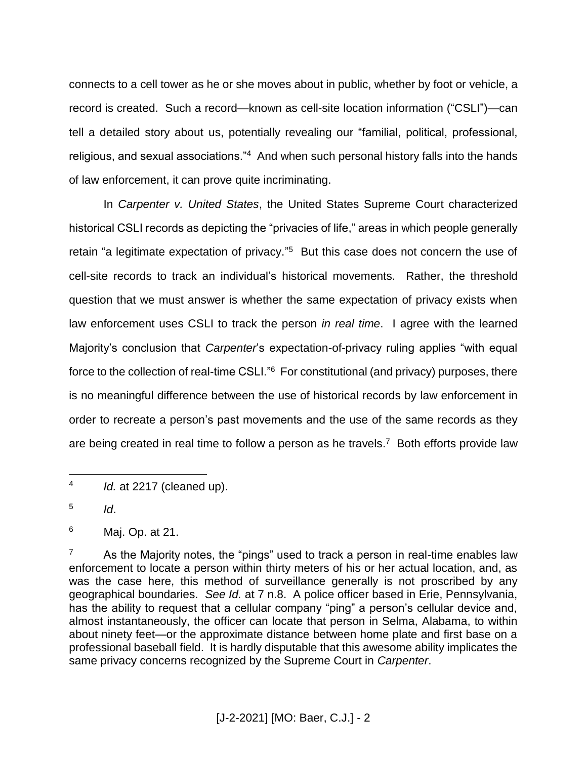connects to a cell tower as he or she moves about in public, whether by foot or vehicle, a record is created. Such a record—known as cell-site location information ("CSLI")—can tell a detailed story about us, potentially revealing our "familial, political, professional, religious, and sexual associations."<sup>4</sup> And when such personal history falls into the hands of law enforcement, it can prove quite incriminating.

In *Carpenter v. United States*, the United States Supreme Court characterized historical CSLI records as depicting the "privacies of life," areas in which people generally retain "a legitimate expectation of privacy."<sup>5</sup> But this case does not concern the use of cell-site records to track an individual's historical movements. Rather, the threshold question that we must answer is whether the same expectation of privacy exists when law enforcement uses CSLI to track the person *in real time*. I agree with the learned Majority's conclusion that *Carpenter*'s expectation-of-privacy ruling applies "with equal force to the collection of real-time CSLI."<sup>6</sup> For constitutional (and privacy) purposes, there is no meaningful difference between the use of historical records by law enforcement in order to recreate a person's past movements and the use of the same records as they are being created in real time to follow a person as he travels.<sup>7</sup> Both efforts provide law

5 *Id*.

<sup>4</sup> *Id.* at 2217 (cleaned up).

 $6$  Maj. Op. at 21.

 $7$  As the Majority notes, the "pings" used to track a person in real-time enables law enforcement to locate a person within thirty meters of his or her actual location, and, as was the case here, this method of surveillance generally is not proscribed by any geographical boundaries. *See Id.* at 7 n.8. A police officer based in Erie, Pennsylvania, has the ability to request that a cellular company "ping" a person's cellular device and, almost instantaneously, the officer can locate that person in Selma, Alabama, to within about ninety feet—or the approximate distance between home plate and first base on a professional baseball field. It is hardly disputable that this awesome ability implicates the same privacy concerns recognized by the Supreme Court in *Carpenter*.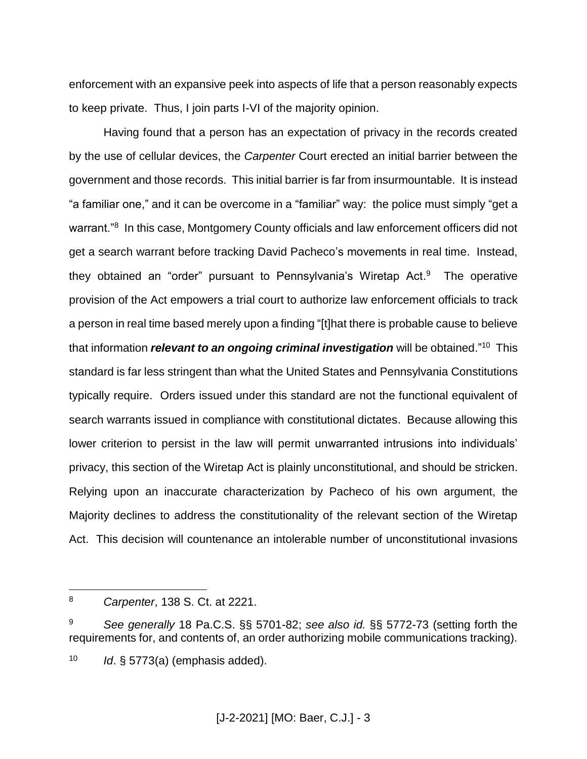enforcement with an expansive peek into aspects of life that a person reasonably expects to keep private. Thus, I join parts I-VI of the majority opinion.

Having found that a person has an expectation of privacy in the records created by the use of cellular devices, the *Carpenter* Court erected an initial barrier between the government and those records. This initial barrier is far from insurmountable. It is instead "a familiar one," and it can be overcome in a "familiar" way: the police must simply "get a warrant."<sup>8</sup> In this case, Montgomery County officials and law enforcement officers did not get a search warrant before tracking David Pacheco's movements in real time. Instead, they obtained an "order" pursuant to Pennsylvania's Wiretap Act. <sup>9</sup> The operative provision of the Act empowers a trial court to authorize law enforcement officials to track a person in real time based merely upon a finding "[t]hat there is probable cause to believe that information *relevant to an ongoing criminal investigation* will be obtained."<sup>10</sup> This standard is far less stringent than what the United States and Pennsylvania Constitutions typically require. Orders issued under this standard are not the functional equivalent of search warrants issued in compliance with constitutional dictates. Because allowing this lower criterion to persist in the law will permit unwarranted intrusions into individuals' privacy, this section of the Wiretap Act is plainly unconstitutional, and should be stricken. Relying upon an inaccurate characterization by Pacheco of his own argument, the Majority declines to address the constitutionality of the relevant section of the Wiretap Act. This decision will countenance an intolerable number of unconstitutional invasions

<sup>8</sup> *Carpenter*, 138 S. Ct. at 2221.

<sup>9</sup> *See generally* 18 Pa.C.S. §§ 5701-82; *see also id.* §§ 5772-73 (setting forth the requirements for, and contents of, an order authorizing mobile communications tracking).

<sup>10</sup> *Id*. § 5773(a) (emphasis added).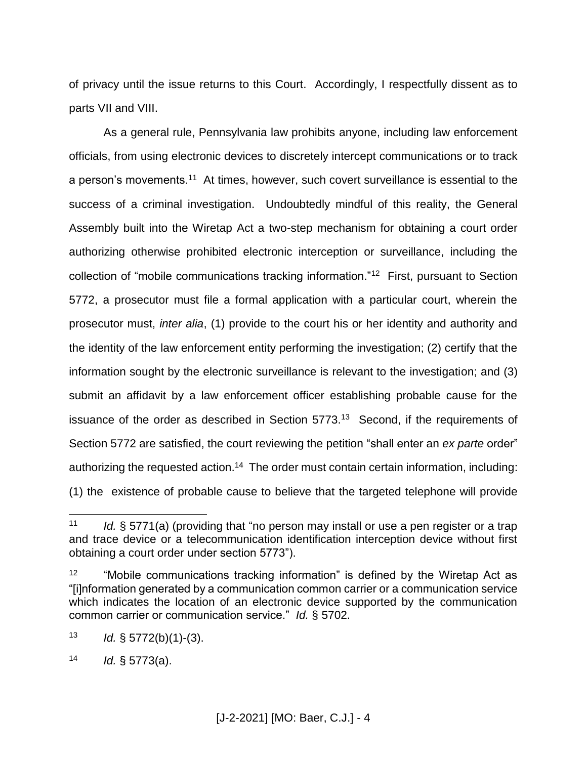of privacy until the issue returns to this Court. Accordingly, I respectfully dissent as to parts VII and VIII.

As a general rule, Pennsylvania law prohibits anyone, including law enforcement officials, from using electronic devices to discretely intercept communications or to track a person's movements.<sup>11</sup> At times, however, such covert surveillance is essential to the success of a criminal investigation. Undoubtedly mindful of this reality, the General Assembly built into the Wiretap Act a two-step mechanism for obtaining a court order authorizing otherwise prohibited electronic interception or surveillance, including the collection of "mobile communications tracking information."<sup>12</sup> First, pursuant to Section 5772, a prosecutor must file a formal application with a particular court, wherein the prosecutor must, *inter alia*, (1) provide to the court his or her identity and authority and the identity of the law enforcement entity performing the investigation; (2) certify that the information sought by the electronic surveillance is relevant to the investigation; and (3) submit an affidavit by a law enforcement officer establishing probable cause for the issuance of the order as described in Section 5773.<sup>13</sup> Second, if the requirements of Section 5772 are satisfied, the court reviewing the petition "shall enter an *ex parte* order" authorizing the requested action.<sup>14</sup> The order must contain certain information, including: (1) the existence of probable cause to believe that the targeted telephone will provide

<sup>11</sup> *Id.* § 5771(a) (providing that "no person may install or use a pen register or a trap and trace device or a telecommunication identification interception device without first obtaining a court order under section 5773").

<sup>&</sup>lt;sup>12</sup> "Mobile communications tracking information" is defined by the Wiretap Act as "[i]nformation generated by a communication common carrier or a communication service which indicates the location of an electronic device supported by the communication common carrier or communication service." *Id.* § 5702.

<sup>13</sup> *Id.*  $\frac{1}{5}$  5772(b)(1)-(3).

<sup>14</sup> *Id.* § 5773(a).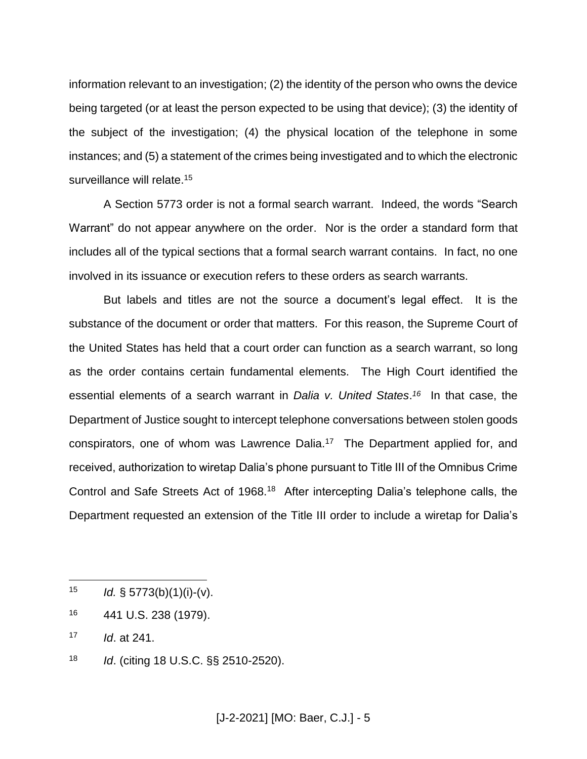information relevant to an investigation; (2) the identity of the person who owns the device being targeted (or at least the person expected to be using that device); (3) the identity of the subject of the investigation; (4) the physical location of the telephone in some instances; and (5) a statement of the crimes being investigated and to which the electronic surveillance will relate.<sup>15</sup>

A Section 5773 order is not a formal search warrant. Indeed, the words "Search Warrant" do not appear anywhere on the order. Nor is the order a standard form that includes all of the typical sections that a formal search warrant contains. In fact, no one involved in its issuance or execution refers to these orders as search warrants.

But labels and titles are not the source a document's legal effect. It is the substance of the document or order that matters. For this reason, the Supreme Court of the United States has held that a court order can function as a search warrant, so long as the order contains certain fundamental elements. The High Court identified the essential elements of a search warrant in *Dalia v. United States*. *<sup>16</sup>* In that case, the Department of Justice sought to intercept telephone conversations between stolen goods conspirators, one of whom was Lawrence Dalia.<sup>17</sup> The Department applied for, and received, authorization to wiretap Dalia's phone pursuant to Title III of the Omnibus Crime Control and Safe Streets Act of 1968.<sup>18</sup> After intercepting Dalia's telephone calls, the Department requested an extension of the Title III order to include a wiretap for Dalia's

<sup>15</sup> *Id.*  $\S$  5773(b)(1)(i)-(v).

<sup>16</sup> 441 U.S. 238 (1979).

<sup>17</sup> *Id*. at 241.

<sup>18</sup> *Id*. (citing 18 U.S.C. §§ 2510-2520).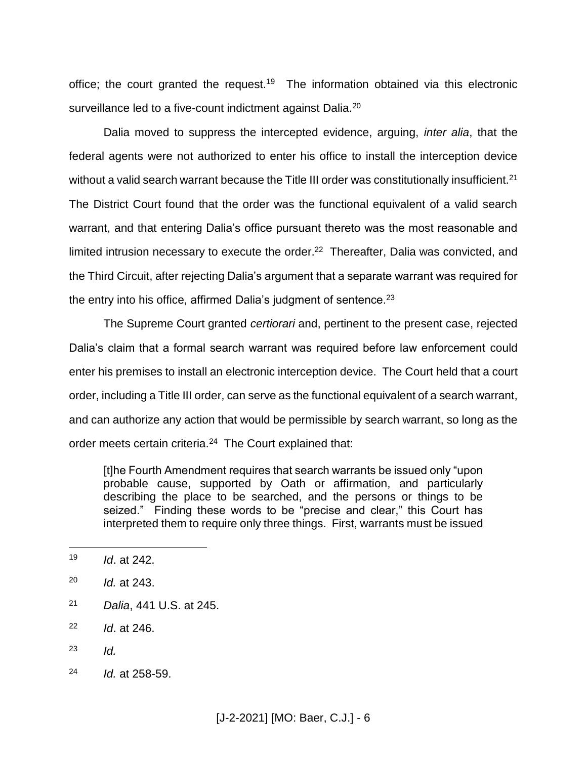office; the court granted the request.<sup>19</sup> The information obtained via this electronic surveillance led to a five-count indictment against Dalia.<sup>20</sup>

Dalia moved to suppress the intercepted evidence, arguing, *inter alia*, that the federal agents were not authorized to enter his office to install the interception device without a valid search warrant because the Title III order was constitutionally insufficient.<sup>21</sup> The District Court found that the order was the functional equivalent of a valid search warrant, and that entering Dalia's office pursuant thereto was the most reasonable and limited intrusion necessary to execute the order. 22 Thereafter, Dalia was convicted, and the Third Circuit, after rejecting Dalia's argument that a separate warrant was required for the entry into his office, affirmed Dalia's judgment of sentence. $^{23}$ 

The Supreme Court granted *certiorari* and, pertinent to the present case, rejected Dalia's claim that a formal search warrant was required before law enforcement could enter his premises to install an electronic interception device. The Court held that a court order, including a Title III order, can serve as the functional equivalent of a search warrant, and can authorize any action that would be permissible by search warrant, so long as the order meets certain criteria.<sup>24</sup> The Court explained that:

[t]he Fourth Amendment requires that search warrants be issued only "upon probable cause, supported by Oath or affirmation, and particularly describing the place to be searched, and the persons or things to be seized." Finding these words to be "precise and clear," this Court has interpreted them to require only three things. First, warrants must be issued

- <sup>21</sup> *Dalia*, 441 U.S. at 245.
- <sup>22</sup> *Id*. at 246.
- <sup>23</sup> *Id.*

 $\overline{a}$ 

<sup>24</sup> *Id.* at 258-59.

<sup>19</sup> *Id*. at 242.

<sup>20</sup> *Id.* at 243.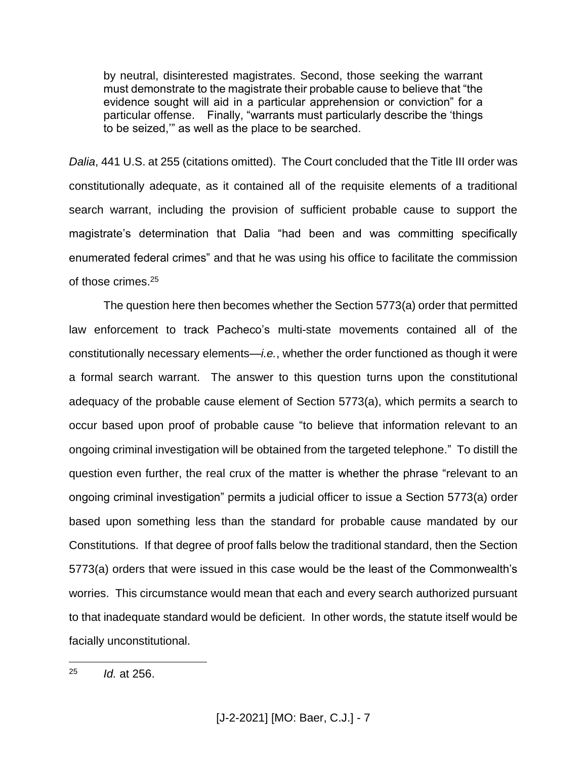by neutral, disinterested magistrates. Second, those seeking the warrant must demonstrate to the magistrate their probable cause to believe that "the evidence sought will aid in a particular apprehension or conviction" for a particular offense. Finally, "warrants must particularly describe the 'things to be seized,'" as well as the place to be searched.

*Dalia*, 441 U.S. at 255 (citations omitted). The Court concluded that the Title III order was constitutionally adequate, as it contained all of the requisite elements of a traditional search warrant, including the provision of sufficient probable cause to support the magistrate's determination that Dalia "had been and was committing specifically enumerated federal crimes" and that he was using his office to facilitate the commission of those crimes. 25

The question here then becomes whether the Section 5773(a) order that permitted law enforcement to track Pacheco's multi-state movements contained all of the constitutionally necessary elements—*i.e.*, whether the order functioned as though it were a formal search warrant. The answer to this question turns upon the constitutional adequacy of the probable cause element of Section 5773(a), which permits a search to occur based upon proof of probable cause "to believe that information relevant to an ongoing criminal investigation will be obtained from the targeted telephone." To distill the question even further, the real crux of the matter is whether the phrase "relevant to an ongoing criminal investigation" permits a judicial officer to issue a Section 5773(a) order based upon something less than the standard for probable cause mandated by our Constitutions. If that degree of proof falls below the traditional standard, then the Section 5773(a) orders that were issued in this case would be the least of the Commonwealth's worries. This circumstance would mean that each and every search authorized pursuant to that inadequate standard would be deficient. In other words, the statute itself would be facially unconstitutional.

<sup>25</sup> *Id.* at 256.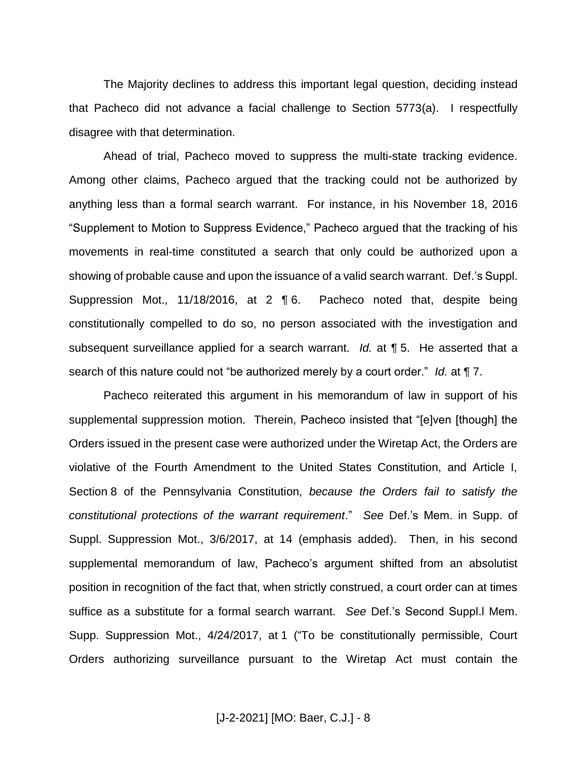The Majority declines to address this important legal question, deciding instead that Pacheco did not advance a facial challenge to Section 5773(a). I respectfully disagree with that determination.

Ahead of trial, Pacheco moved to suppress the multi-state tracking evidence. Among other claims, Pacheco argued that the tracking could not be authorized by anything less than a formal search warrant. For instance, in his November 18, 2016 "Supplement to Motion to Suppress Evidence," Pacheco argued that the tracking of his movements in real-time constituted a search that only could be authorized upon a showing of probable cause and upon the issuance of a valid search warrant. Def.'s Suppl. Suppression Mot., 11/18/2016, at 2 ¶ 6. Pacheco noted that, despite being constitutionally compelled to do so, no person associated with the investigation and subsequent surveillance applied for a search warrant. *Id.* at ¶ 5. He asserted that a search of this nature could not "be authorized merely by a court order." *Id.* at ¶ 7.

Pacheco reiterated this argument in his memorandum of law in support of his supplemental suppression motion. Therein, Pacheco insisted that "[e]ven [though] the Orders issued in the present case were authorized under the Wiretap Act, the Orders are violative of the Fourth Amendment to the United States Constitution, and Article I, Section 8 of the Pennsylvania Constitution, *because the Orders fail to satisfy the constitutional protections of the warrant requirement*." *See* Def.'s Mem. in Supp. of Suppl. Suppression Mot., 3/6/2017, at 14 (emphasis added). Then, in his second supplemental memorandum of law, Pacheco's argument shifted from an absolutist position in recognition of the fact that, when strictly construed, a court order can at times suffice as a substitute for a formal search warrant. *See* Def.'s Second Suppl.l Mem. Supp. Suppression Mot., 4/24/2017, at 1 ("To be constitutionally permissible, Court Orders authorizing surveillance pursuant to the Wiretap Act must contain the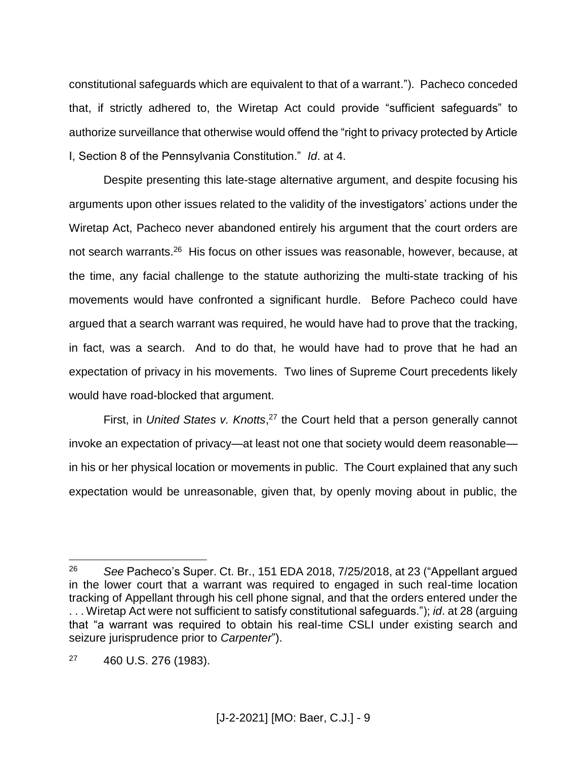constitutional safeguards which are equivalent to that of a warrant."). Pacheco conceded that, if strictly adhered to, the Wiretap Act could provide "sufficient safeguards" to authorize surveillance that otherwise would offend the "right to privacy protected by Article I, Section 8 of the Pennsylvania Constitution." *Id*. at 4.

Despite presenting this late-stage alternative argument, and despite focusing his arguments upon other issues related to the validity of the investigators' actions under the Wiretap Act, Pacheco never abandoned entirely his argument that the court orders are not search warrants.<sup>26</sup> His focus on other issues was reasonable, however, because, at the time, any facial challenge to the statute authorizing the multi-state tracking of his movements would have confronted a significant hurdle. Before Pacheco could have argued that a search warrant was required, he would have had to prove that the tracking, in fact, was a search. And to do that, he would have had to prove that he had an expectation of privacy in his movements. Two lines of Supreme Court precedents likely would have road-blocked that argument.

First, in *United States v. Knotts*, <sup>27</sup> the Court held that a person generally cannot invoke an expectation of privacy—at least not one that society would deem reasonable in his or her physical location or movements in public. The Court explained that any such expectation would be unreasonable, given that, by openly moving about in public, the

<sup>26</sup> *See* Pacheco's Super. Ct. Br., 151 EDA 2018, 7/25/2018, at 23 ("Appellant argued in the lower court that a warrant was required to engaged in such real-time location tracking of Appellant through his cell phone signal, and that the orders entered under the . . . Wiretap Act were not sufficient to satisfy constitutional safeguards."); *id*. at 28 (arguing that "a warrant was required to obtain his real-time CSLI under existing search and seizure jurisprudence prior to *Carpenter*").

<sup>27</sup> 460 U.S. 276 (1983).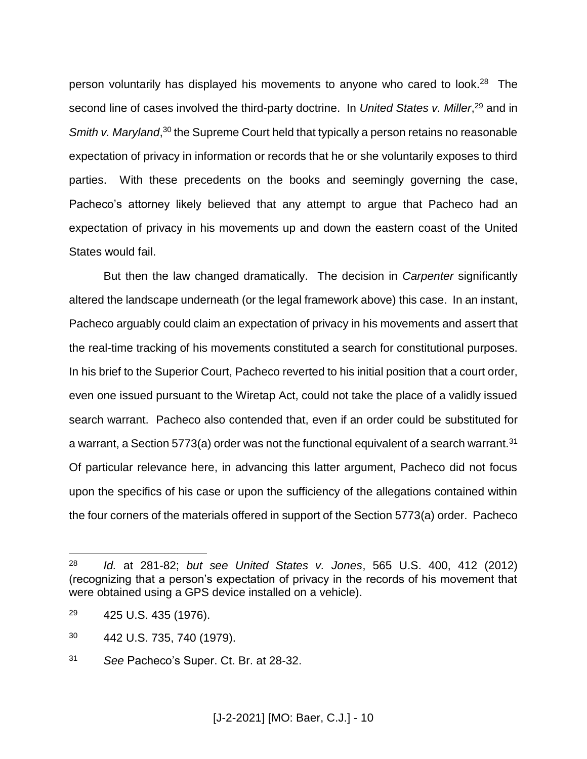person voluntarily has displayed his movements to anyone who cared to look.<sup>28</sup> The second line of cases involved the third-party doctrine. In *United States v. Miller*,<sup>29</sup> and in Smith v. Maryland,<sup>30</sup> the Supreme Court held that typically a person retains no reasonable expectation of privacy in information or records that he or she voluntarily exposes to third parties. With these precedents on the books and seemingly governing the case, Pacheco's attorney likely believed that any attempt to argue that Pacheco had an expectation of privacy in his movements up and down the eastern coast of the United States would fail.

But then the law changed dramatically. The decision in *Carpenter* significantly altered the landscape underneath (or the legal framework above) this case. In an instant, Pacheco arguably could claim an expectation of privacy in his movements and assert that the real-time tracking of his movements constituted a search for constitutional purposes. In his brief to the Superior Court, Pacheco reverted to his initial position that a court order, even one issued pursuant to the Wiretap Act, could not take the place of a validly issued search warrant. Pacheco also contended that, even if an order could be substituted for a warrant, a Section 5773(a) order was not the functional equivalent of a search warrant.<sup>31</sup> Of particular relevance here, in advancing this latter argument, Pacheco did not focus upon the specifics of his case or upon the sufficiency of the allegations contained within the four corners of the materials offered in support of the Section 5773(a) order. Pacheco

<sup>28</sup> *Id.* at 281-82; *but see United States v. Jones*, 565 U.S. 400, 412 (2012) (recognizing that a person's expectation of privacy in the records of his movement that were obtained using a GPS device installed on a vehicle).

 $29$  425 U.S. 435 (1976).

<sup>30</sup> 442 U.S. 735, 740 (1979).

<sup>31</sup> *See* Pacheco's Super. Ct. Br. at 28-32.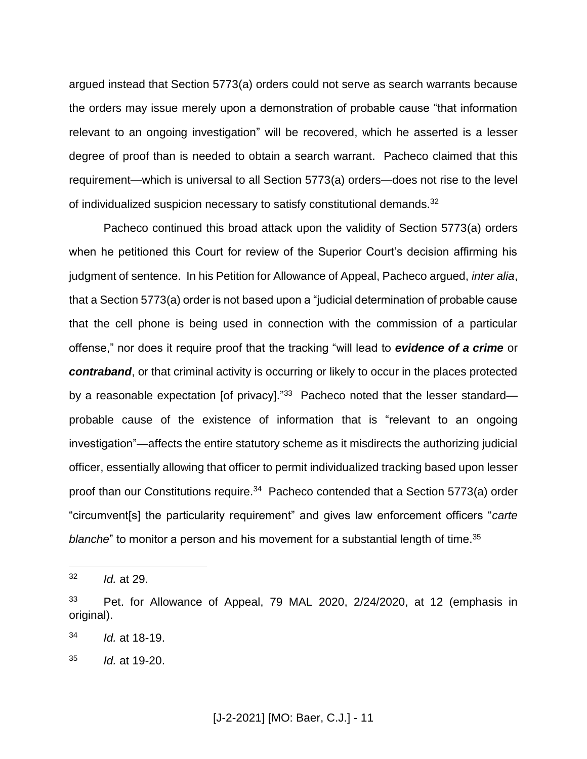argued instead that Section 5773(a) orders could not serve as search warrants because the orders may issue merely upon a demonstration of probable cause "that information relevant to an ongoing investigation" will be recovered, which he asserted is a lesser degree of proof than is needed to obtain a search warrant. Pacheco claimed that this requirement—which is universal to all Section 5773(a) orders—does not rise to the level of individualized suspicion necessary to satisfy constitutional demands.<sup>32</sup>

Pacheco continued this broad attack upon the validity of Section 5773(a) orders when he petitioned this Court for review of the Superior Court's decision affirming his judgment of sentence. In his Petition for Allowance of Appeal, Pacheco argued, *inter alia*, that a Section 5773(a) order is not based upon a "judicial determination of probable cause that the cell phone is being used in connection with the commission of a particular offense," nor does it require proof that the tracking "will lead to *evidence of a crime* or *contraband*, or that criminal activity is occurring or likely to occur in the places protected by a reasonable expectation [of privacy]."<sup>33</sup> Pacheco noted that the lesser standard probable cause of the existence of information that is "relevant to an ongoing investigation"—affects the entire statutory scheme as it misdirects the authorizing judicial officer, essentially allowing that officer to permit individualized tracking based upon lesser proof than our Constitutions require.<sup>34</sup> Pacheco contended that a Section 5773(a) order "circumvent[s] the particularity requirement" and gives law enforcement officers "*carte blanche*" to monitor a person and his movement for a substantial length of time.<sup>35</sup>

<sup>32</sup> *Id.* at 29.

<sup>33</sup> Pet. for Allowance of Appeal, 79 MAL 2020, 2/24/2020, at 12 (emphasis in original).

<sup>34</sup> *Id.* at 18-19.

<sup>35</sup> *Id.* at 19-20.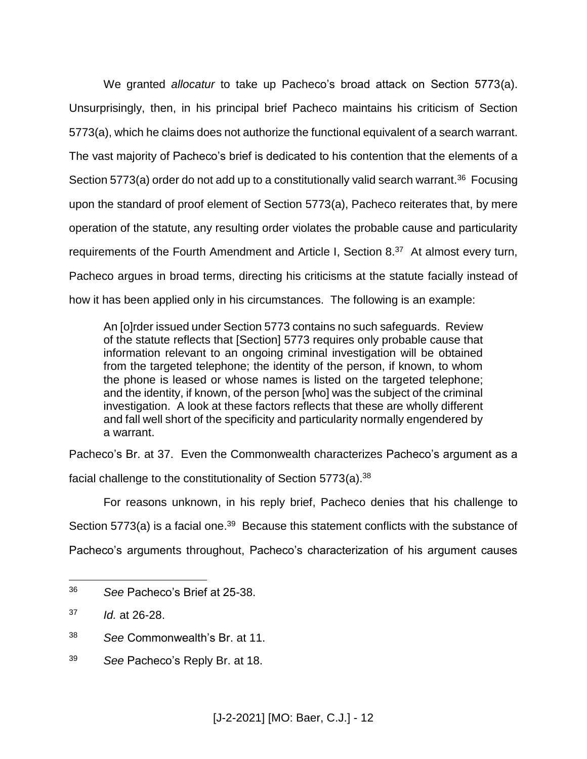We granted *allocatur* to take up Pacheco's broad attack on Section 5773(a). Unsurprisingly, then, in his principal brief Pacheco maintains his criticism of Section 5773(a), which he claims does not authorize the functional equivalent of a search warrant. The vast majority of Pacheco's brief is dedicated to his contention that the elements of a Section 5773(a) order do not add up to a constitutionally valid search warrant.<sup>36</sup> Focusing upon the standard of proof element of Section 5773(a), Pacheco reiterates that, by mere operation of the statute, any resulting order violates the probable cause and particularity requirements of the Fourth Amendment and Article I, Section 8.<sup>37</sup> At almost every turn, Pacheco argues in broad terms, directing his criticisms at the statute facially instead of how it has been applied only in his circumstances. The following is an example:

An [o]rder issued under Section 5773 contains no such safeguards. Review of the statute reflects that [Section] 5773 requires only probable cause that information relevant to an ongoing criminal investigation will be obtained from the targeted telephone; the identity of the person, if known, to whom the phone is leased or whose names is listed on the targeted telephone; and the identity, if known, of the person [who] was the subject of the criminal investigation. A look at these factors reflects that these are wholly different and fall well short of the specificity and particularity normally engendered by a warrant.

Pacheco's Br. at 37. Even the Commonwealth characterizes Pacheco's argument as a

facial challenge to the constitutionality of Section 5773(a).<sup>38</sup>

For reasons unknown, in his reply brief, Pacheco denies that his challenge to Section 5773(a) is a facial one.<sup>39</sup> Because this statement conflicts with the substance of Pacheco's arguments throughout, Pacheco's characterization of his argument causes

 $\overline{a}$ <sup>36</sup> *See* Pacheco's Brief at 25-38.

<sup>37</sup> *Id.* at 26-28.

<sup>38</sup> *See* Commonwealth's Br. at 11.

<sup>39</sup> *See* Pacheco's Reply Br. at 18.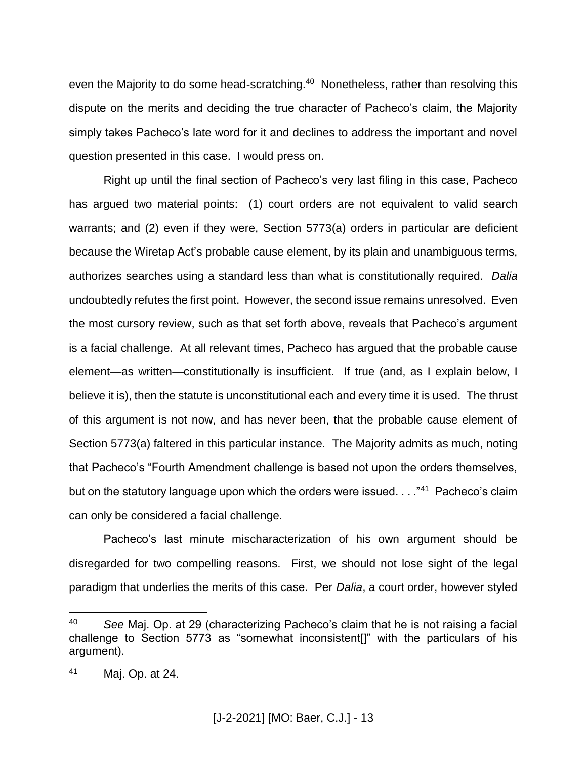even the Majority to do some head-scratching.<sup>40</sup> Nonetheless, rather than resolving this dispute on the merits and deciding the true character of Pacheco's claim, the Majority simply takes Pacheco's late word for it and declines to address the important and novel question presented in this case. I would press on.

Right up until the final section of Pacheco's very last filing in this case, Pacheco has argued two material points: (1) court orders are not equivalent to valid search warrants; and (2) even if they were, Section 5773(a) orders in particular are deficient because the Wiretap Act's probable cause element, by its plain and unambiguous terms, authorizes searches using a standard less than what is constitutionally required. *Dalia* undoubtedly refutes the first point. However, the second issue remains unresolved. Even the most cursory review, such as that set forth above, reveals that Pacheco's argument is a facial challenge. At all relevant times, Pacheco has argued that the probable cause element—as written—constitutionally is insufficient. If true (and, as I explain below, I believe it is), then the statute is unconstitutional each and every time it is used. The thrust of this argument is not now, and has never been, that the probable cause element of Section 5773(a) faltered in this particular instance. The Majority admits as much, noting that Pacheco's "Fourth Amendment challenge is based not upon the orders themselves, but on the statutory language upon which the orders were issued...."<sup>41</sup> Pacheco's claim can only be considered a facial challenge.

Pacheco's last minute mischaracterization of his own argument should be disregarded for two compelling reasons. First, we should not lose sight of the legal paradigm that underlies the merits of this case. Per *Dalia*, a court order, however styled

<sup>40</sup> *See* Maj. Op. at 29 (characterizing Pacheco's claim that he is not raising a facial challenge to Section 5773 as "somewhat inconsistent[]" with the particulars of his argument).

<sup>41</sup> Maj. Op. at 24.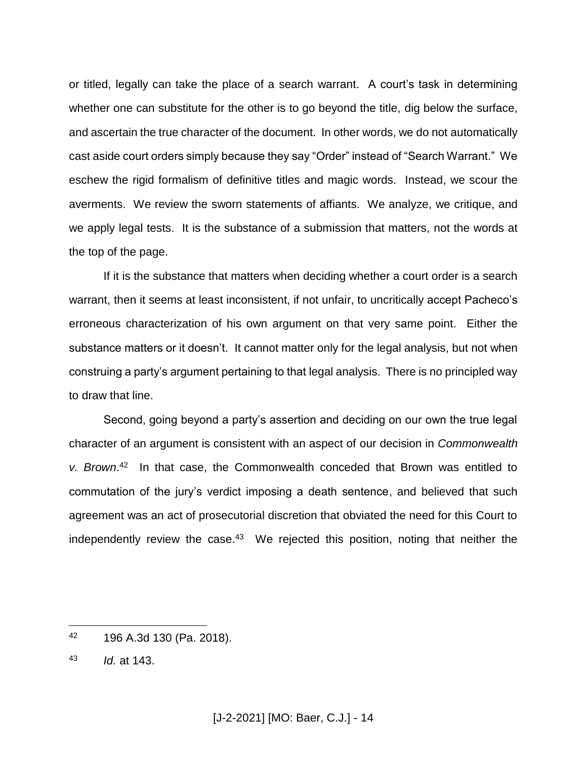or titled, legally can take the place of a search warrant. A court's task in determining whether one can substitute for the other is to go beyond the title, dig below the surface, and ascertain the true character of the document. In other words, we do not automatically cast aside court orders simply because they say "Order" instead of "Search Warrant." We eschew the rigid formalism of definitive titles and magic words. Instead, we scour the averments. We review the sworn statements of affiants. We analyze, we critique, and we apply legal tests. It is the substance of a submission that matters, not the words at the top of the page.

If it is the substance that matters when deciding whether a court order is a search warrant, then it seems at least inconsistent, if not unfair, to uncritically accept Pacheco's erroneous characterization of his own argument on that very same point. Either the substance matters or it doesn't. It cannot matter only for the legal analysis, but not when construing a party's argument pertaining to that legal analysis. There is no principled way to draw that line.

Second, going beyond a party's assertion and deciding on our own the true legal character of an argument is consistent with an aspect of our decision in *Commonwealth v. Brown*. 42 In that case, the Commonwealth conceded that Brown was entitled to commutation of the jury's verdict imposing a death sentence, and believed that such agreement was an act of prosecutorial discretion that obviated the need for this Court to independently review the case.<sup>43</sup> We rejected this position, noting that neither the

<sup>42</sup> 196 A.3d 130 (Pa. 2018).

<sup>43</sup> *Id.* at 143.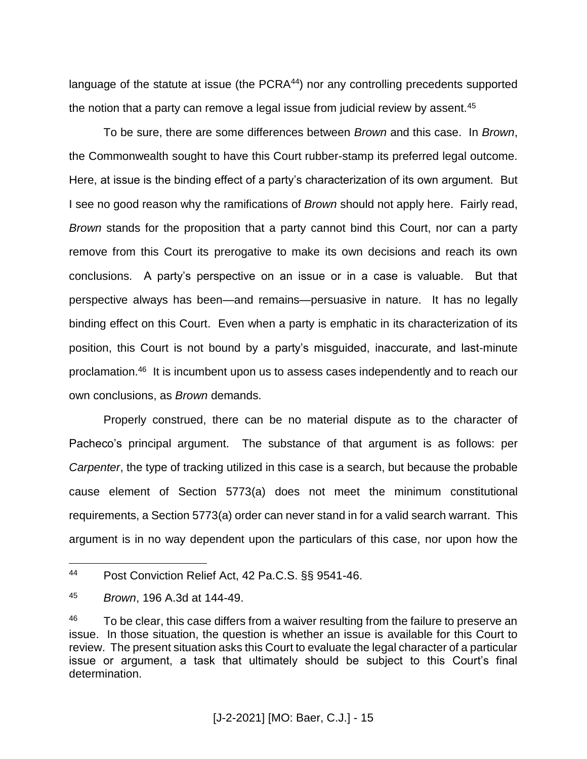language of the statute at issue (the PCRA<sup>44</sup>) nor any controlling precedents supported the notion that a party can remove a legal issue from judicial review by assent. $45$ 

To be sure, there are some differences between *Brown* and this case. In *Brown*, the Commonwealth sought to have this Court rubber-stamp its preferred legal outcome. Here, at issue is the binding effect of a party's characterization of its own argument. But I see no good reason why the ramifications of *Brown* should not apply here. Fairly read, *Brown* stands for the proposition that a party cannot bind this Court, nor can a party remove from this Court its prerogative to make its own decisions and reach its own conclusions. A party's perspective on an issue or in a case is valuable. But that perspective always has been—and remains—persuasive in nature. It has no legally binding effect on this Court. Even when a party is emphatic in its characterization of its position, this Court is not bound by a party's misguided, inaccurate, and last-minute proclamation.<sup>46</sup> It is incumbent upon us to assess cases independently and to reach our own conclusions, as *Brown* demands.

Properly construed, there can be no material dispute as to the character of Pacheco's principal argument. The substance of that argument is as follows: per *Carpenter*, the type of tracking utilized in this case is a search, but because the probable cause element of Section 5773(a) does not meet the minimum constitutional requirements, a Section 5773(a) order can never stand in for a valid search warrant. This argument is in no way dependent upon the particulars of this case, nor upon how the

<sup>44</sup> Post Conviction Relief Act, 42 Pa.C.S. §§ 9541-46.

<sup>45</sup> *Brown*, 196 A.3d at 144-49.

<sup>&</sup>lt;sup>46</sup> To be clear, this case differs from a waiver resulting from the failure to preserve an issue. In those situation, the question is whether an issue is available for this Court to review. The present situation asks this Court to evaluate the legal character of a particular issue or argument, a task that ultimately should be subject to this Court's final determination.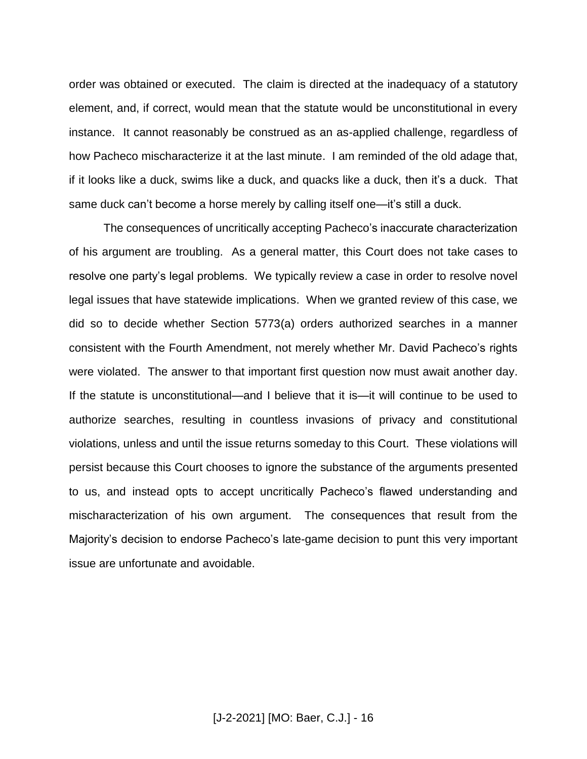order was obtained or executed. The claim is directed at the inadequacy of a statutory element, and, if correct, would mean that the statute would be unconstitutional in every instance. It cannot reasonably be construed as an as-applied challenge, regardless of how Pacheco mischaracterize it at the last minute. I am reminded of the old adage that, if it looks like a duck, swims like a duck, and quacks like a duck, then it's a duck. That same duck can't become a horse merely by calling itself one—it's still a duck.

The consequences of uncritically accepting Pacheco's inaccurate characterization of his argument are troubling. As a general matter, this Court does not take cases to resolve one party's legal problems. We typically review a case in order to resolve novel legal issues that have statewide implications. When we granted review of this case, we did so to decide whether Section 5773(a) orders authorized searches in a manner consistent with the Fourth Amendment, not merely whether Mr. David Pacheco's rights were violated. The answer to that important first question now must await another day. If the statute is unconstitutional—and I believe that it is—it will continue to be used to authorize searches, resulting in countless invasions of privacy and constitutional violations, unless and until the issue returns someday to this Court. These violations will persist because this Court chooses to ignore the substance of the arguments presented to us, and instead opts to accept uncritically Pacheco's flawed understanding and mischaracterization of his own argument. The consequences that result from the Majority's decision to endorse Pacheco's late-game decision to punt this very important issue are unfortunate and avoidable.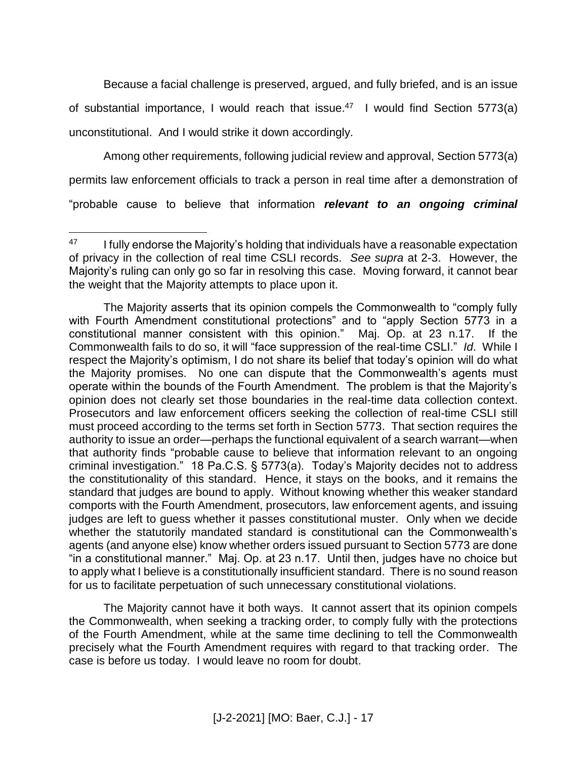Because a facial challenge is preserved, argued, and fully briefed, and is an issue of substantial importance, I would reach that issue.<sup>47</sup> I would find Section 5773(a) unconstitutional. And I would strike it down accordingly.

Among other requirements, following judicial review and approval, Section 5773(a) permits law enforcement officials to track a person in real time after a demonstration of "probable cause to believe that information *relevant to an ongoing criminal* 

 $\overline{a}$  $47$  I fully endorse the Majority's holding that individuals have a reasonable expectation of privacy in the collection of real time CSLI records. *See supra* at 2-3. However, the Majority's ruling can only go so far in resolving this case. Moving forward, it cannot bear the weight that the Majority attempts to place upon it.

The Majority asserts that its opinion compels the Commonwealth to "comply fully with Fourth Amendment constitutional protections" and to "apply Section 5773 in a constitutional manner consistent with this opinion." Maj. Op. at 23 n.17. If the Commonwealth fails to do so, it will "face suppression of the real-time CSLI." *Id*. While I respect the Majority's optimism, I do not share its belief that today's opinion will do what the Majority promises. No one can dispute that the Commonwealth's agents must operate within the bounds of the Fourth Amendment. The problem is that the Majority's opinion does not clearly set those boundaries in the real-time data collection context. Prosecutors and law enforcement officers seeking the collection of real-time CSLI still must proceed according to the terms set forth in Section 5773. That section requires the authority to issue an order—perhaps the functional equivalent of a search warrant—when that authority finds "probable cause to believe that information relevant to an ongoing criminal investigation." 18 Pa.C.S. § 5773(a). Today's Majority decides not to address the constitutionality of this standard. Hence, it stays on the books, and it remains the standard that judges are bound to apply. Without knowing whether this weaker standard comports with the Fourth Amendment, prosecutors, law enforcement agents, and issuing judges are left to guess whether it passes constitutional muster. Only when we decide whether the statutorily mandated standard is constitutional can the Commonwealth's agents (and anyone else) know whether orders issued pursuant to Section 5773 are done "in a constitutional manner." Maj. Op. at 23 n.17. Until then, judges have no choice but to apply what I believe is a constitutionally insufficient standard. There is no sound reason for us to facilitate perpetuation of such unnecessary constitutional violations.

The Majority cannot have it both ways. It cannot assert that its opinion compels the Commonwealth, when seeking a tracking order, to comply fully with the protections of the Fourth Amendment, while at the same time declining to tell the Commonwealth precisely what the Fourth Amendment requires with regard to that tracking order. The case is before us today. I would leave no room for doubt.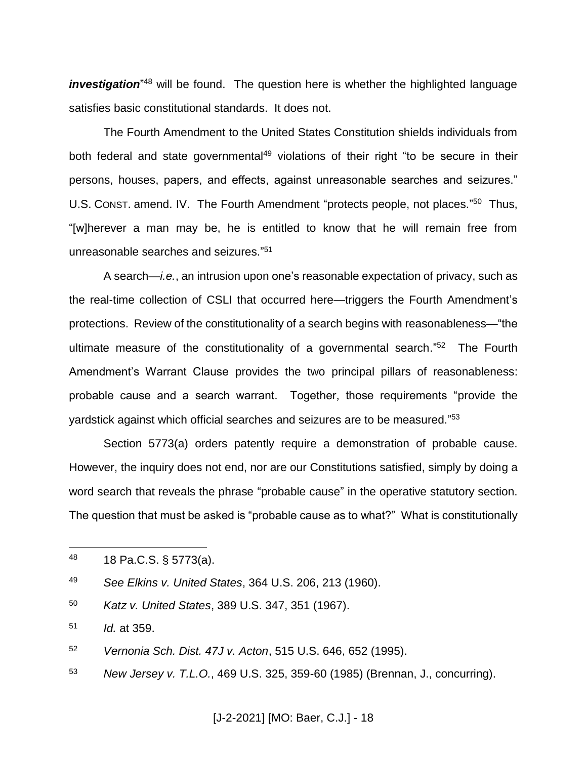investigation<sup>"48</sup> will be found. The question here is whether the highlighted language satisfies basic constitutional standards. It does not.

The Fourth Amendment to the United States Constitution shields individuals from both federal and state governmental<sup>49</sup> violations of their right "to be secure in their persons, houses, papers, and effects, against unreasonable searches and seizures." U.S. CONST. amend. IV. The Fourth Amendment "protects people, not places."<sup>50</sup> Thus, "[w]herever a man may be, he is entitled to know that he will remain free from unreasonable searches and seizures." 51

A search—*i.e.*, an intrusion upon one's reasonable expectation of privacy, such as the real-time collection of CSLI that occurred here—triggers the Fourth Amendment's protections. Review of the constitutionality of a search begins with reasonableness—"the ultimate measure of the constitutionality of a governmental search."<sup>52</sup> The Fourth Amendment's Warrant Clause provides the two principal pillars of reasonableness: probable cause and a search warrant. Together, those requirements "provide the yardstick against which official searches and seizures are to be measured."<sup>53</sup>

Section 5773(a) orders patently require a demonstration of probable cause. However, the inquiry does not end, nor are our Constitutions satisfied, simply by doing a word search that reveals the phrase "probable cause" in the operative statutory section. The question that must be asked is "probable cause as to what?" What is constitutionally

 $\overline{a}$ 

<sup>53</sup> *New Jersey v. T.L.O.*, 469 U.S. 325, 359-60 (1985) (Brennan, J., concurring).

<sup>48</sup> 18 Pa.C.S. § 5773(a).

<sup>49</sup> *See Elkins v. United States*, 364 U.S. 206, 213 (1960).

<sup>50</sup> *Katz v. United States*, 389 U.S. 347, 351 (1967).

<sup>51</sup> *Id.* at 359.

<sup>52</sup> *Vernonia Sch. Dist. 47J v. Acton*, 515 U.S. 646, 652 (1995).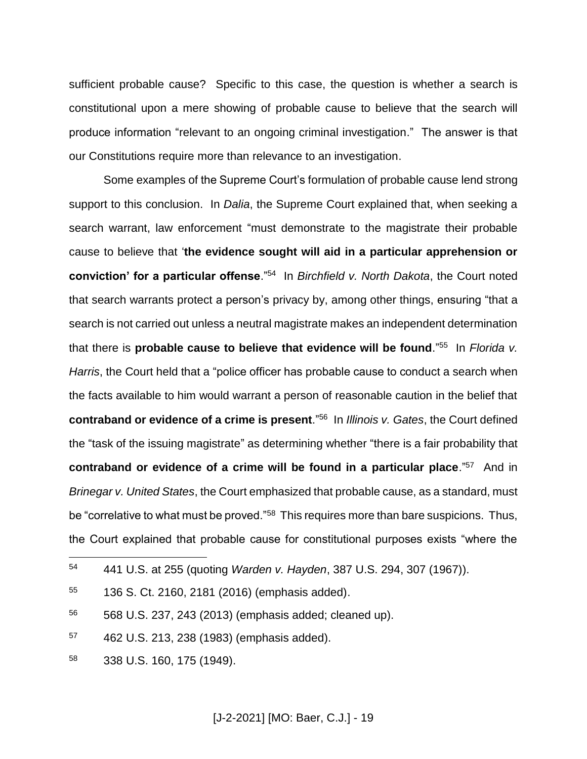sufficient probable cause? Specific to this case, the question is whether a search is constitutional upon a mere showing of probable cause to believe that the search will produce information "relevant to an ongoing criminal investigation." The answer is that our Constitutions require more than relevance to an investigation.

Some examples of the Supreme Court's formulation of probable cause lend strong support to this conclusion. In *Dalia*, the Supreme Court explained that, when seeking a search warrant, law enforcement "must demonstrate to the magistrate their probable cause to believe that '**the evidence sought will aid in a particular apprehension or conviction' for a particular offense**." 54 In *Birchfield v. North Dakota*, the Court noted that search warrants protect a person's privacy by, among other things, ensuring "that a search is not carried out unless a neutral magistrate makes an independent determination that there is **probable cause to believe that evidence will be found**." <sup>55</sup> In *Florida v. Harris*, the Court held that a "police officer has probable cause to conduct a search when the facts available to him would warrant a person of reasonable caution in the belief that **contraband or evidence of a crime is present**."<sup>56</sup> In *Illinois v. Gates*, the Court defined the "task of the issuing magistrate" as determining whether "there is a fair probability that **contraband or evidence of a crime will be found in a particular place**."<sup>57</sup> And in *Brinegar v. United States*, the Court emphasized that probable cause, as a standard, must be "correlative to what must be proved."<sup>58</sup> This requires more than bare suspicions. Thus, the Court explained that probable cause for constitutional purposes exists "where the

<sup>54</sup> 441 U.S. at 255 (quoting *Warden v. Hayden*, 387 U.S. 294, 307 (1967)).

<sup>55</sup> 136 S. Ct. 2160, 2181 (2016) (emphasis added).

<sup>56</sup> 568 U.S. 237, 243 (2013) (emphasis added; cleaned up).

<sup>57</sup> 462 U.S. 213, 238 (1983) (emphasis added).

<sup>58</sup> 338 U.S. 160, 175 (1949).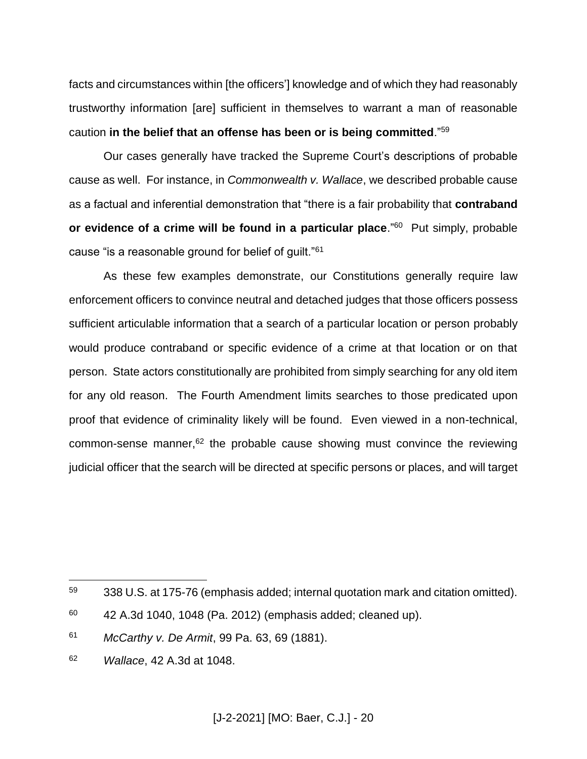facts and circumstances within [the officers'] knowledge and of which they had reasonably trustworthy information [are] sufficient in themselves to warrant a man of reasonable caution **in the belief that an offense has been or is being committed**."<sup>59</sup>

Our cases generally have tracked the Supreme Court's descriptions of probable cause as well. For instance, in *Commonwealth v. Wallace*, we described probable cause as a factual and inferential demonstration that "there is a fair probability that **contraband**  or evidence of a crime will be found in a particular place.<sup>"60</sup> Put simply, probable cause "is a reasonable ground for belief of guilt."<sup>61</sup>

As these few examples demonstrate, our Constitutions generally require law enforcement officers to convince neutral and detached judges that those officers possess sufficient articulable information that a search of a particular location or person probably would produce contraband or specific evidence of a crime at that location or on that person. State actors constitutionally are prohibited from simply searching for any old item for any old reason. The Fourth Amendment limits searches to those predicated upon proof that evidence of criminality likely will be found. Even viewed in a non-technical, common-sense manner, $62$  the probable cause showing must convince the reviewing judicial officer that the search will be directed at specific persons or places, and will target

<sup>59</sup> 338 U.S. at 175-76 (emphasis added; internal quotation mark and citation omitted).

 $60$  42 A.3d 1040, 1048 (Pa. 2012) (emphasis added; cleaned up).

<sup>61</sup> *McCarthy v. De Armit*, 99 Pa. 63, 69 (1881).

<sup>62</sup> *Wallace*, 42 A.3d at 1048.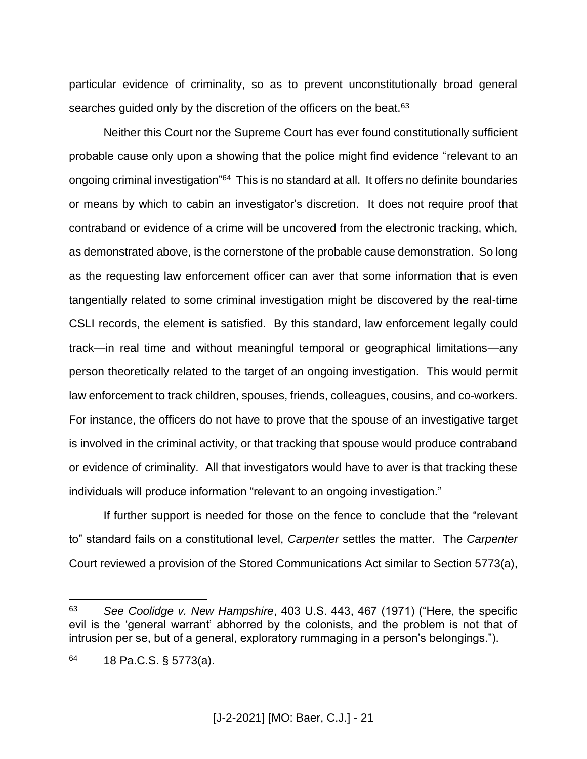particular evidence of criminality, so as to prevent unconstitutionally broad general searches guided only by the discretion of the officers on the beat.<sup>63</sup>

Neither this Court nor the Supreme Court has ever found constitutionally sufficient probable cause only upon a showing that the police might find evidence "relevant to an ongoing criminal investigation<sup>"64</sup> This is no standard at all. It offers no definite boundaries or means by which to cabin an investigator's discretion. It does not require proof that contraband or evidence of a crime will be uncovered from the electronic tracking, which, as demonstrated above, is the cornerstone of the probable cause demonstration. So long as the requesting law enforcement officer can aver that some information that is even tangentially related to some criminal investigation might be discovered by the real-time CSLI records, the element is satisfied. By this standard, law enforcement legally could track—in real time and without meaningful temporal or geographical limitations—any person theoretically related to the target of an ongoing investigation. This would permit law enforcement to track children, spouses, friends, colleagues, cousins, and co-workers. For instance, the officers do not have to prove that the spouse of an investigative target is involved in the criminal activity, or that tracking that spouse would produce contraband or evidence of criminality. All that investigators would have to aver is that tracking these individuals will produce information "relevant to an ongoing investigation."

If further support is needed for those on the fence to conclude that the "relevant to" standard fails on a constitutional level, *Carpenter* settles the matter. The *Carpenter* Court reviewed a provision of the Stored Communications Act similar to Section 5773(a),

<sup>63</sup> *See Coolidge v. New Hampshire*, 403 U.S. 443, 467 (1971) ("Here, the specific evil is the 'general warrant' abhorred by the colonists, and the problem is not that of intrusion per se, but of a general, exploratory rummaging in a person's belongings.").

<sup>64</sup> 18 Pa.C.S. § 5773(a).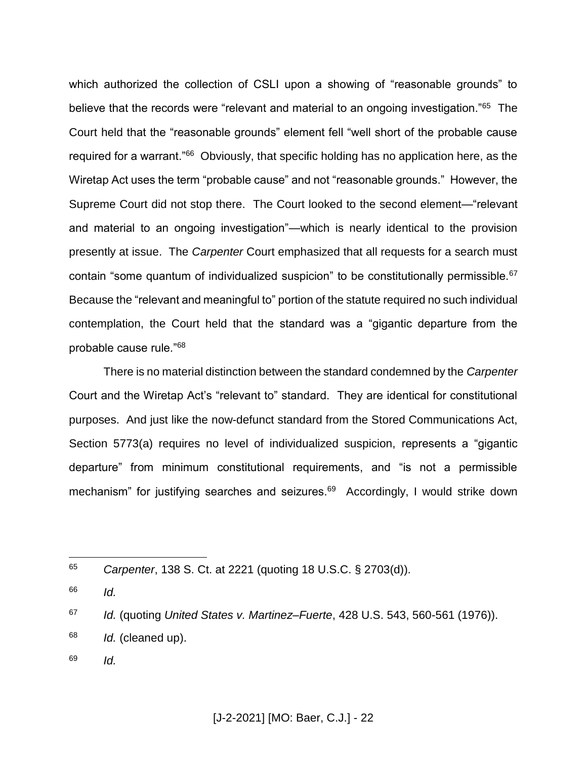which authorized the collection of CSLI upon a showing of "reasonable grounds" to believe that the records were "relevant and material to an ongoing investigation."<sup>65</sup> The Court held that the "reasonable grounds" element fell "well short of the probable cause required for a warrant."<sup>66</sup> Obviously, that specific holding has no application here, as the Wiretap Act uses the term "probable cause" and not "reasonable grounds." However, the Supreme Court did not stop there. The Court looked to the second element—"relevant and material to an ongoing investigation"—which is nearly identical to the provision presently at issue. The *Carpenter* Court emphasized that all requests for a search must contain "some quantum of individualized suspicion" to be constitutionally permissible. $67$ Because the "relevant and meaningful to" portion of the statute required no such individual contemplation, the Court held that the standard was a "gigantic departure from the probable cause rule."<sup>68</sup>

There is no material distinction between the standard condemned by the *Carpenter*  Court and the Wiretap Act's "relevant to" standard. They are identical for constitutional purposes. And just like the now-defunct standard from the Stored Communications Act, Section 5773(a) requires no level of individualized suspicion, represents a "gigantic departure" from minimum constitutional requirements, and "is not a permissible mechanism" for justifying searches and seizures.<sup>69</sup> Accordingly, I would strike down

<sup>66</sup> *Id.*

- <sup>68</sup> *Id.* (cleaned up).
- <sup>69</sup> *Id.*

<sup>65</sup> *Carpenter*, 138 S. Ct. at 2221 (quoting 18 U.S.C. § 2703(d)).

<sup>67</sup> *Id.* (quoting *United States v. Martinez–Fuerte*, 428 U.S. 543, 560-561 (1976)).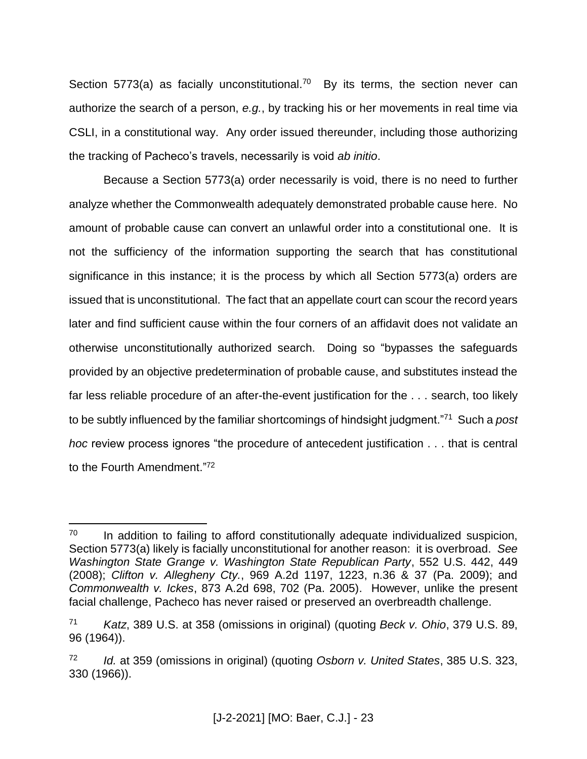Section 5773(a) as facially unconstitutional.<sup>70</sup> By its terms, the section never can authorize the search of a person, *e.g.*, by tracking his or her movements in real time via CSLI, in a constitutional way. Any order issued thereunder, including those authorizing the tracking of Pacheco's travels, necessarily is void *ab initio*.

Because a Section 5773(a) order necessarily is void, there is no need to further analyze whether the Commonwealth adequately demonstrated probable cause here. No amount of probable cause can convert an unlawful order into a constitutional one. It is not the sufficiency of the information supporting the search that has constitutional significance in this instance; it is the process by which all Section 5773(a) orders are issued that is unconstitutional. The fact that an appellate court can scour the record years later and find sufficient cause within the four corners of an affidavit does not validate an otherwise unconstitutionally authorized search. Doing so "bypasses the safeguards provided by an objective predetermination of probable cause, and substitutes instead the far less reliable procedure of an after-the-event justification for the . . . search, too likely to be subtly influenced by the familiar shortcomings of hindsight judgment."<sup>71</sup> Such a *post hoc* review process ignores "the procedure of antecedent justification . . . that is central to the Fourth Amendment."72

 $70$  In addition to failing to afford constitutionally adequate individualized suspicion, Section 5773(a) likely is facially unconstitutional for another reason: it is overbroad. *See Washington State Grange v. Washington State Republican Party*, 552 U.S. 442, 449 (2008); *Clifton v. Allegheny Cty.*, 969 A.2d 1197, 1223, n.36 & 37 (Pa. 2009); and *Commonwealth v. Ickes*, 873 A.2d 698, 702 (Pa. 2005). However, unlike the present facial challenge, Pacheco has never raised or preserved an overbreadth challenge.

<sup>71</sup> *Katz*, 389 U.S. at 358 (omissions in original) (quoting *Beck v. Ohio*, 379 U.S. 89, 96 (1964)).

<sup>72</sup> *Id.* at 359 (omissions in original) (quoting *Osborn v. United States*, 385 U.S. 323, 330 (1966)).